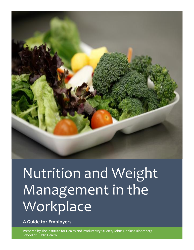

# Nutrition and Weight Management in the Workplace

**A Guide for Employers**

Prepared by The Institute for Health and Productivity Studies, Johns Hopkins Bloomberg School of Public Health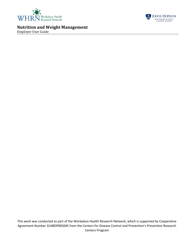



<span id="page-1-0"></span>Employer User Guide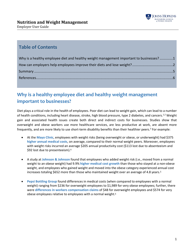

# **Table of Contents**

| Why is a healthy employee diet and healthy weight management important to businesses?1 |  |
|----------------------------------------------------------------------------------------|--|
|                                                                                        |  |
|                                                                                        |  |
|                                                                                        |  |

# **Why is a healthy employee diet and healthy weight management important to businesses?**

Diet plays a critical role in the health of employees. Poor diet can lead to weight gain, which can lead to a number of health conditions, including heart disease, stroke, high blood pressure, type 2 diabetes, and cancers.<sup>1,2</sup> Weight gain and associated health issues create both direct and indirect costs for businesses. Studies show that overweight and obese workers use more healthcare services, are less productive at work, are absent more frequently, and are more likely to use short-term disability benefits than their healthier peers.<sup>3</sup> For example:

- At the **Mayo Clinic**, employees with weight risks (being overweight or obese, or underweight) had \$375 **higher annual medical costs**, on average, compared to their normal weight peers. Moreover, employees with weight risks incurred an average \$205 annual productivity cost (\$113 lost due to absenteeism and \$92 lost due to presenteeism).<sup>4</sup>
- A study at **Johnson & Johnson** found that employees who added weight risk (i.e., moved from a normal weight to an obese weight) had 9.9% **higher medical cost growth** than those who stayed at a non-obese weight, and employees who gained weight and moved into the obese category experienced annual cost increases totaling \$652 more than those who maintained weight over an average of 4.8 years.<sup>5</sup>
- **Pepsi Bottling Group** found differences in medical costs (when compared to employees with a normal weight) ranging from \$236 for overweight employees to \$1,989 for very obese employees; further, there were **differences in workers compensation claims** of \$48 for overweight employees and \$574 for very obese employees relative to employees with a normal weight.<sup>6</sup>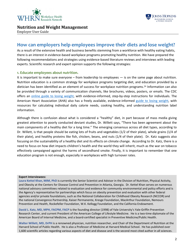



Employer User Guide

# <span id="page-3-0"></span>**How can employers help employees improve their diets and lose weight?**

As a result of the extensive health and business benefits stemming from a workforce with healthy eating habits, there is an interest in evidence-based workplace programs promoting healthy nutrition. We have prepared the following recommendations and strategies using evidence-based literature reviews and interviews with leading experts. Scientific research and expert opinion supports the following strategies:

#### **1. Educate employees about nutrition.**

It is important to make sure everyone – from leadership to employees — is on the same page about nutrition. Nutrition education is a common strategy for workplace programs targeting diet, and education provided by a dietician has been identified as an element of success for workplace nutrition programs.<sup>24</sup> Information can also be provided through a variety of communication channels, like brochures, videos, posters, or emails. The CDC offers an [online guide to losing weight,](http://www.cdc.gov/healthyweight/losing_weight/getting_started.html) with evidence-informed, step-by-step instructions for individuals. The American Heart Association (AHA) also has a freely available, evidence-informed [guide to losing weight,](http://www.heart.org/HEARTORG/GettingHealthy/WeightManagement/LosingWeight/Losing-Weight_UCM_307904_Article.jsp) with resources for calculating individual daily calorie needs, cooking healthy, and understanding nutrition label information.

Although there is confusion about what is considered a "healthy" diet, in part because of mass media giving greatest attention to poorly conducted deviant studies, Dr. Willett says, "There has been agreement about the main components of a healthy diet for a long time." The emerging consensus across all diet types, according to Dr. Willett, is that people should be eating lots of fruits and vegetables (1/2 of their plate), whole grains (1/4 of their plate), and healthy proteins like fish, chicken, beans, and nuts (1/4 of their plate). Dr. Katz suggests also focusing on the sustainability of a healthy diet and its effects on climate change. According to Dr. Katz, there is a need to focus on how diet impacts children's health and the world they will inherit, much as the war on tobacco effectively campaigned against the harms of secondhand smoke. Finally, it is important to remember that one education program is not enough, especially in workplaces with high turnover rates.

#### **Expert Interviewees:**

**Laura Kettel Khan, MIM, PhD** is currently the Senior Scientist and Advisor in the Division of Nutrition, Physical Activity, and Obesity at the Centers for Disease Control and Prevention in Atlanta, Georgia. Dr. Kettel Khan serves on numerous national advisory committees related to evaluation and evidence for community environmental and policy efforts and is the Agency's representative for partnerships which focus on obesity prevention and evaluation with other federal agencies and/or private foundations, such as the National Collaboration for Childhood Obesity Research (NCCOR) and the national Convergence Partnership, Kaiser Permanente, Kresge Foundation, MacArthur Foundation, Nemours Prevention and Health, Rockefeller Foundation, W.K. Kellogg Foundation, and the California Endowment.

**David L. Katz, MD, MPH, FACPM, FACP** is the founding director (1998) of Yale University's Yale-Griffin Prevention Research Center, and current President of the American College of Lifestyle Medicine. He is a two-time diplomate of the American Board of Internal Medicine, and a board-certified specialist in Preventive Medicine/Public Health.

**Walter Willett, MD, DrPH** is a renowned physician, nutrition researcher, and Chair of the Department of Nutrition at the Harvard School of Public Health. He is also a Professor of Medicine at Harvard Medical School. He has published over 1,600 scientific articles regarding various aspects of diet and disease and is the second most cited author in all sciences.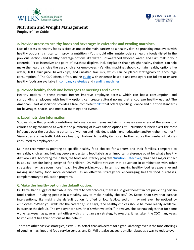

# **JOHNS HOPKINS BLOOMBERG SCHOOL**<br>of PUBLIC HEALTH

## **Nutrition and Weight Management**

Employer User Guide

#### **2. Provide access to healthy foods and beverages in cafeterias and vending machines.**

Lack of access to healthy foods is cited as one of the main barriers to a healthy diet, so providing employees with healthy options is critical to improving nutrition.<sup>1</sup> You should offer nutrient-dense healthy foods (listed in the previous section) and healthy beverage options like water, unsweetened flavored water, and skim milk in your cafeteria.<sup>2</sup> Price incentives and point-of-purchase displays, including labels that highlight healthy choices, can help make the healthy choice the easy choice for employees.<sup>1</sup> Vending machines should contain healthy options like water, 100% fruit juice, baked chips, and unsalted trail mix, which can be placed strategically to encourage consumption.<sup>18</sup> The CDC offers a free, online [guide](http://www.cdc.gov/obesity/strategies/food-serv-guide.html) with evidence-based plans employers can follow to ensure healthy foods are available in [company cafeterias](http://www.cdc.gov/obesity/downloads/smart-food-choices-how-to-implement-food-service-guidelines.pdf) an[d vending machines.](http://www.cdc.gov/obesity/downloads/guidelines_for_federal_concessions_and_vending_operations.pdf)

#### **3. Provide healthy foods and beverages at meetings and events.**

Healthy options in these venues further improve employee access, which can boost consumption, and surrounding employees with healthy options can create cultural norms that encourage healthy eating.<sup>1</sup> The American Heart Association provides a free, complet[e toolkit](http://www.heart.org/HEARTORG/GettingHealthy/WorkplaceWellness/WorkplaceWellnessResources/Healthy-Workplace-Food-and-Beverage-Toolkit_UCM_465195_Article.jsp) that offers specific guidance and nutrition standards for beverages, snacks, and meals at meetings and events.

#### **4. Label nutrition information**

Studies show that providing nutritional information on menus and signs increases awareness of the amount of calories being consumed as well as the purchasing of lower calorie options.19–21 Nutritional labels exert the most influence over the purchasing patterns of women and individuals with higher education and/or higher incomes.<sup>21</sup> Visual cues, such as traffic lights or a heart symbol next to healthy items, can further reduce the number of calories consumed by employees.22,23

Dr. Katz recommends pointing to specific healthy food choices for workers and their families, compared to unhealthy choices, and helping people understand food labels as an important reference point for what a healthy diet looks like. According to Dr. Katz, the food label literacy program [Nutrition Detectives,](http://www.davidkatzmd.com/nutritiondetectives.aspx) "has had a major impact in adults" despite being designed for children. Dr. Willett stresses that education in combination with other strategies may have even more impact. He cites pricing—both in terms of making healthy food less expensive and making unhealthy food more expensive—as an effective strategy for encouraging healthy food purchases, complementary to education programs.

#### **5. Make the healthy option the default option.**

Dr. Kettel Kahn suggests that while "you want to offer choices, there is also great benefit in not publicizing certain food choices – nudging people in a stealthy way to make healthy choices." Dr. Kettel Khan says that passive interventions, like making the default option fortified or low fat/low sodium may not even be noticed by employees. "When you walk into the cafeteria," she says, "the healthy choices should be more readily available, in essence the default. The employer can say, 'that's what we offer.'" However, she acknowledges that for some worksites—such as government offices—this is not an easy strategy to execute: it has taken the CDC many years to implement healthier options as the default.

There are other passive strategies, as well. Dr. Kettel Khan advocates for a gradual changeover in the food offerings of vending machines and food service venues, and Dr. Willett also suggests smaller plates as a way to reduce over-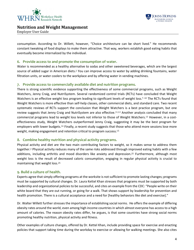



Employer User Guide

consumption. According to Dr. Willett, however, "Choice architecture can be short lived." He recommends constant tweaking of food displays to make them attractive. That way, workers establish good eating habits that eventually become internalized by the individual.

#### **6. Provide access to and promote the consumption of water.**

Water is recommended as a healthy alternative to sodas and other sweetened beverages, which are the largest source of added sugar in American diets.<sup>2</sup> You can improve access to water by adding drinking fountains, water filtration units, or water coolers to the workplace and by offering water in vending machines.

#### **7. Provide access to commercially available diet and nutrition programs.**

There is strong scientific evidence supporting the effectiveness of some commercial programs, such as Weight Watchers, Jenny Craig, and NutriSystem. Several randomized control trials (RCTs) have concluded that Weight Watchers is an effective weight loss program leading to significant levels of weight loss.<sup>7-10</sup> The RCTs found that Weight Watchers is more effective than self-help classes, other commercial diets, and standard care. Two recent systematic reviews of RCTs support the conclusion that Weight Watchers is a best practice program, but one review suggests that Jenny Craig and NutriSystem are also effective.<sup>11,12</sup> Another analysis concluded that many commercial programs lead to weight loss levels not inferior to those of Weight Watchers.<sup>13</sup> However, in a costeffectiveness study, Weight Watchers outperformed Jenny Craig, suggesting it may be the best program for employers with lower budgets.<sup>14</sup> Finally, a recent study suggests that those who attend more sessions lose more weight, making engagement and retention critical to program success.<sup>15</sup>

#### **8. Combine healthy nutrition and physical activity programs.**

Physical activity and diet are the two main contributing factors to weight, so it makes sense to address them together.<sup>2</sup> Physical activity reduces many of the same risks addressed through improved eating habits with a few additions, including arthritis and mood disorders like anxiety and depression.<sup>25</sup> Furthermore, although most weight loss is the result of decreased caloric consumption, engaging in regular physical activity is crucial to maintaining that weight loss.<sup>25</sup>

#### **9. Build a culture of health.**

Experts agree that simply offering programs at the worksite is not sufficient to promote lasting changes; programs must be supported by cultural changes. Dr. Laura Kettel Khan stresses that programs must be supported by both leadership and organizational policies to be successful, and cites an example from the CDC: "People write on their white board that they are out running, or going for a walk. That shows support by leadership for prevention and health promotion. There is a cultural acceptance and a need for [healthy behaviors like diet and exercise]."

Dr. Walter Willett further stresses the importance of establishing social norms. He offers the example of differing obesity rates around the world, even among high income countries in which almost everyone has access to a high amount of calories. The reason obesity rates differ, he argues, is that some countries have strong social norms promoting healthy nutrition, physical activity and fitness.

Other examples of culture changes, offered by Dr. Kettel Khan, include providing space for exercise and enacting policies that support taking time during the workday to exercise or allowing for walking meetings. She also cites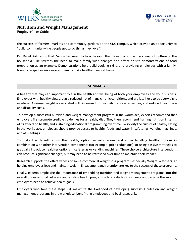



Employer User Guide

the success of farmers' markets and community gardens on the CDC campus, which provide an opportunity to "build community while people get to do things they love."

Dr. David Katz adds that "worksites need to look beyond their four walls: the basic unit of culture is the household." He stresses the need to make family-wide changes and offers on-site demonstrations of food preparation as an example. Demonstrations help build cooking skills, and providing employees with a familyfriendly recipe box encourages them to make healthy meals at home.

#### **SUMMARY**

A healthy diet plays an important role in the health and wellbeing of both your employees and your business. Employees with healthy diets are at a reduced risk of many chronic conditions, and are less likely to be overweight or obese. A normal weight is associated with increased productivity, reduced absences, and reduced healthcare and disability costs.

To develop a successful nutrition and weight management program in the workplace, experts recommend that employers first promote credible guidelines for a healthy diet. They then recommend framing nutrition in terms of its effects on health, and sustaining educational programming over time. To solidify the culture of healthy eating in the workplace, employers should provide access to healthy foods and water in cafeterias, vending machines, and at meetings.

To make the default option the healthy option, experts recommend either labelling healthy options in combination with other intervention components (for example, price reductions), or using passive strategies to gradually introduce healthier options in cafeterias or vending machines. These choice architecture interventions can produce significant changes, but may need to be refreshed over time to maintain their impact.

Research supports the effectiveness of some commercial weight loss programs, especially Weight Watchers, at helping employees lose and maintain weight. Engagement and retention are key to the success of these programs.

Finally, experts emphasize the importance of embedding nutrition and weight management programs into the overall organizational culture – and existing health programs – to create lasting change and provide the support employees need to achieve health goals.

<span id="page-6-0"></span>Employers who take these steps will maximize the likelihood of developing successful nutrition and weight management programs in the workplace, benefitting employees and businesses alike.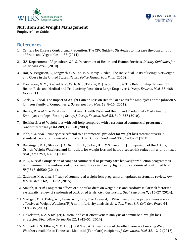



Employer User Guide

# **References**

- 1. Centers for Disease Control and Prevention. The CDC Guide to Strategies to Increase the Consumption of Fruits and Vegetables. 1–53 (2011).
- 2. U.S. Department of Agriculture & U.S. Department of Health and Human Services. *Dietary Guidelines for Americans 2010*. (2010).
- 3. Dor, A., Ferguson, C., Langwith, C. & Tan, E. A Heavy Burden: The Individual Costs of Being Overweight and Obese in the United States. *Health Policy Manag. Fac. Publ.* (2010).
- 4. Kowlessar, N. M., Goetzel, R. Z., Carls, G. S., Tabrizi, M. J. & Guindon, A. The Relationship Between 11 Health Risks and Medical and Productivity Costs for a Large Employer. *J. Occup. Environ. Med.* **53,** 468– 477 (2011).
- 5. Carls, G. S. *et al.* The Impact of Weight Gain or Loss on Health Care Costs for Employees at the Johnson & Johnson Family of Companies. *J. Occup. Environ. Med.* **53,** 8–16 (2011).
- 6. Henke, R. *et al.* The Relationship Between Health Risks and Health and Productivity Costs Among Employees at Pepsi Bottling Group. *J. Occup. Environ. Med.* **52,** 519–527 (2010).
- 7. Heshka, S. *et al.* Weight loss with self-help compared with a structured commercial program: a randomized trial. *JAMA* **289,** 1792–8 (2003).
- 8. Jebb, S. A. *et al.* Primary care referral to a commercial provider for weight loss treatment versus standard care: a randomised controlled trial. *Lancet Lond. Engl.* **378,** 1485–92 (2011).
- 9. Dansinger, M. L., Gleason, J. A., Griffith, J. L., Selker, H. P. & Schaefer, E. J. Comparison of the Atkins, Ornish, Weight Watchers, and Zone diets for weight loss and heart disease risk reduction: a randomized trial. *JAMA* **293,** 43–53 (2005).
- 10. Jolly, K. *et al.* Comparison of range of commercial or primary care led weight reduction programmes with minimal intervention control for weight loss in obesity: lighten Up randomised controlled trial. *BMJ* **343,** d6500 (2011).
- 11. Gudzune, K. A. *et al.* Efficacy of commercial weight-loss programs: an updated systematic review. *Ann. Intern. Med.* **162,** 501–12 (2015).
- 12. Atallah, R. *et al.* Long-term effects of 4 popular diets on weight loss and cardiovascular risk factors: a systematic review of randomized controlled trials. *Circ. Cardiovasc. Qual. Outcomes* **7,** 815–27 (2014).
- 13. Madigan, C. D., Daley, A. J., Lewis, A. L., Jolly, K. & Aveyard, P. Which weight-loss programmes are as effective as Weight Watchers(R)?: non-inferiority analysis. *Br. J. Gen. Pract. J. R. Coll. Gen. Pract.* **64,** e128–36 (2014).
- 14. Finkelstein, E. A. & Kruger, E. Meta- and cost-effectiveness analysis of commercial weight loss strategies. *Obes. Silver Spring Md* **22,** 1942–51 (2014).
- 15. Mitchell, N. S., Ellison, M. C., Hill, J. O. & Tsai, A. G. Evaluation of the effectiveness of making Weight Watchers available to Tennessee Medicaid (TennCare) recipients. *J. Gen. Intern. Med.* **28,** 12–7 (2013).